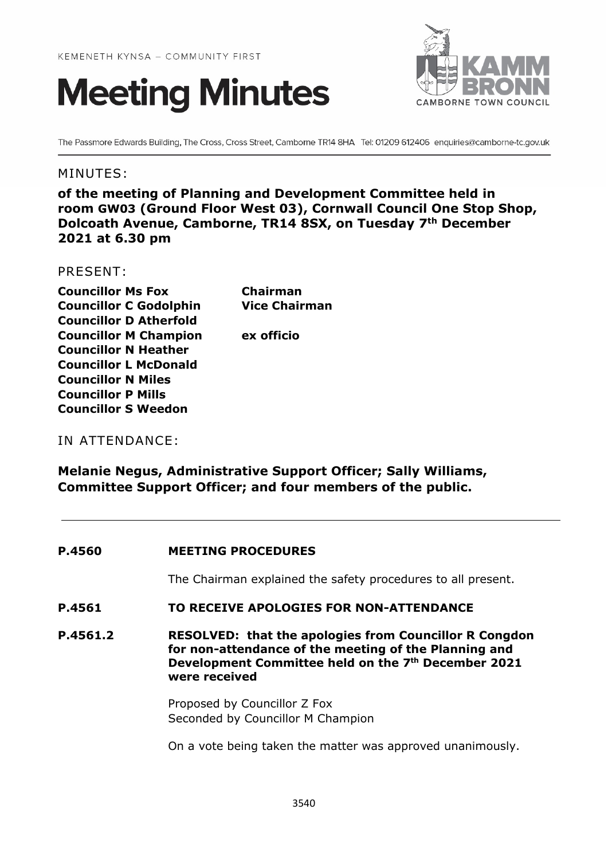



The Passmore Edwards Building, The Cross, Cross Street, Camborne TR14 8HA Tel: 01209 612406 enquiries@camborne-tc.gov.uk

## MINUTES:

**of the meeting of Planning and Development Committee held in room GW03 (Ground Floor West 03), Cornwall Council One Stop Shop, Dolcoath Avenue, Camborne, TR14 8SX, on Tuesday 7th December 2021 at 6.30 pm**

## PRESENT:

**Councillor Ms Fox Chairman Councillor C Godolphin Vice Chairman Councillor D Atherfold Councillor M Champion ex officio Councillor N Heather Councillor L McDonald Councillor N Miles Councillor P Mills Councillor S Weedon**

## IN ATTENDANCE:

**Melanie Negus, Administrative Support Officer; Sally Williams, Committee Support Officer; and four members of the public.**

#### **P.4560 MEETING PROCEDURES**

The Chairman explained the safety procedures to all present.

#### **P.4561 TO RECEIVE APOLOGIES FOR NON-ATTENDANCE**

**P.4561.2 RESOLVED: that the apologies from Councillor R Congdon for non-attendance of the meeting of the Planning and Development Committee held on the 7th December 2021 were received**

> Proposed by Councillor Z Fox Seconded by Councillor M Champion

On a vote being taken the matter was approved unanimously.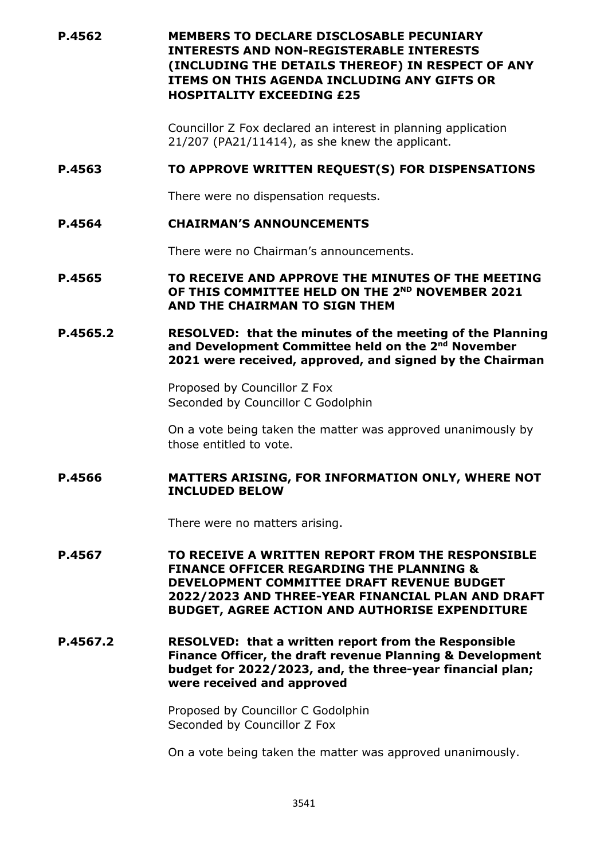**P.4562 MEMBERS TO DECLARE DISCLOSABLE PECUNIARY INTERESTS AND NON-REGISTERABLE INTERESTS (INCLUDING THE DETAILS THEREOF) IN RESPECT OF ANY ITEMS ON THIS AGENDA INCLUDING ANY GIFTS OR HOSPITALITY EXCEEDING £25**

> Councillor Z Fox declared an interest in planning application 21/207 (PA21/11414), as she knew the applicant.

#### **P.4563 TO APPROVE WRITTEN REQUEST(S) FOR DISPENSATIONS**

There were no dispensation requests.

## **P.4564 CHAIRMAN'S ANNOUNCEMENTS**

There were no Chairman's announcements.

**P.4565 TO RECEIVE AND APPROVE THE MINUTES OF THE MEETING OF THIS COMMITTEE HELD ON THE 2ND NOVEMBER 2021 AND THE CHAIRMAN TO SIGN THEM**

#### **P.4565.2 RESOLVED: that the minutes of the meeting of the Planning and Development Committee held on the 2nd November 2021 were received, approved, and signed by the Chairman**

Proposed by Councillor Z Fox Seconded by Councillor C Godolphin

On a vote being taken the matter was approved unanimously by those entitled to vote.

## **P.4566 MATTERS ARISING, FOR INFORMATION ONLY, WHERE NOT INCLUDED BELOW**

There were no matters arising.

**P.4567 TO RECEIVE A WRITTEN REPORT FROM THE RESPONSIBLE FINANCE OFFICER REGARDING THE PLANNING & DEVELOPMENT COMMITTEE DRAFT REVENUE BUDGET 2022/2023 AND THREE-YEAR FINANCIAL PLAN AND DRAFT BUDGET, AGREE ACTION AND AUTHORISE EXPENDITURE**

**P.4567.2 RESOLVED: that a written report from the Responsible Finance Officer, the draft revenue Planning & Development budget for 2022/2023, and, the three-year financial plan; were received and approved**

> Proposed by Councillor C Godolphin Seconded by Councillor Z Fox

On a vote being taken the matter was approved unanimously.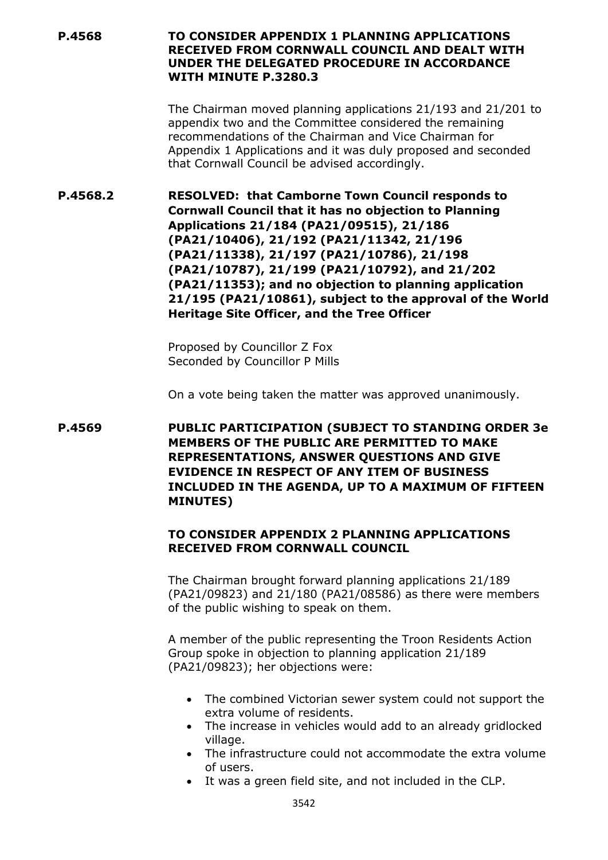#### **P.4568 TO CONSIDER APPENDIX 1 PLANNING APPLICATIONS RECEIVED FROM CORNWALL COUNCIL AND DEALT WITH UNDER THE DELEGATED PROCEDURE IN ACCORDANCE WITH MINUTE P.3280.3**

The Chairman moved planning applications 21/193 and 21/201 to appendix two and the Committee considered the remaining recommendations of the Chairman and Vice Chairman for Appendix 1 Applications and it was duly proposed and seconded that Cornwall Council be advised accordingly.

**P.4568.2 RESOLVED: that Camborne Town Council responds to Cornwall Council that it has no objection to Planning Applications 21/184 (PA21/09515), 21/186 (PA21/10406), 21/192 (PA21/11342, 21/196 (PA21/11338), 21/197 (PA21/10786), 21/198 (PA21/10787), 21/199 (PA21/10792), and 21/202 (PA21/11353); and no objection to planning application 21/195 (PA21/10861), subject to the approval of the World Heritage Site Officer, and the Tree Officer**

> Proposed by Councillor Z Fox Seconded by Councillor P Mills

On a vote being taken the matter was approved unanimously.

**P.4569 PUBLIC PARTICIPATION (SUBJECT TO STANDING ORDER 3e MEMBERS OF THE PUBLIC ARE PERMITTED TO MAKE REPRESENTATIONS, ANSWER QUESTIONS AND GIVE EVIDENCE IN RESPECT OF ANY ITEM OF BUSINESS INCLUDED IN THE AGENDA, UP TO A MAXIMUM OF FIFTEEN MINUTES)**

## **TO CONSIDER APPENDIX 2 PLANNING APPLICATIONS RECEIVED FROM CORNWALL COUNCIL**

The Chairman brought forward planning applications 21/189 (PA21/09823) and 21/180 (PA21/08586) as there were members of the public wishing to speak on them.

A member of the public representing the Troon Residents Action Group spoke in objection to planning application 21/189 (PA21/09823); her objections were:

- The combined Victorian sewer system could not support the extra volume of residents.
- The increase in vehicles would add to an already gridlocked village.
- The infrastructure could not accommodate the extra volume of users.
- It was a green field site, and not included in the CLP.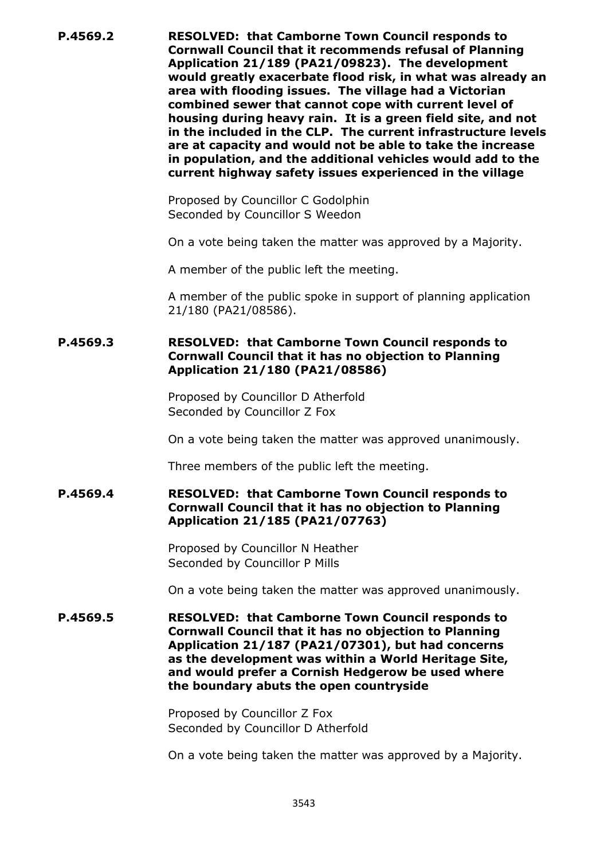**P.4569.2 RESOLVED: that Camborne Town Council responds to Cornwall Council that it recommends refusal of Planning Application 21/189 (PA21/09823). The development would greatly exacerbate flood risk, in what was already an area with flooding issues. The village had a Victorian combined sewer that cannot cope with current level of housing during heavy rain. It is a green field site, and not in the included in the CLP. The current infrastructure levels are at capacity and would not be able to take the increase in population, and the additional vehicles would add to the current highway safety issues experienced in the village**

> Proposed by Councillor C Godolphin Seconded by Councillor S Weedon

On a vote being taken the matter was approved by a Majority.

A member of the public left the meeting.

A member of the public spoke in support of planning application 21/180 (PA21/08586).

#### **P.4569.3 RESOLVED: that Camborne Town Council responds to Cornwall Council that it has no objection to Planning Application 21/180 (PA21/08586)**

Proposed by Councillor D Atherfold Seconded by Councillor Z Fox

On a vote being taken the matter was approved unanimously.

Three members of the public left the meeting.

## **P.4569.4 RESOLVED: that Camborne Town Council responds to Cornwall Council that it has no objection to Planning Application 21/185 (PA21/07763)**

Proposed by Councillor N Heather Seconded by Councillor P Mills

On a vote being taken the matter was approved unanimously.

**P.4569.5 RESOLVED: that Camborne Town Council responds to Cornwall Council that it has no objection to Planning Application 21/187 (PA21/07301), but had concerns as the development was within a World Heritage Site, and would prefer a Cornish Hedgerow be used where the boundary abuts the open countryside**

> Proposed by Councillor Z Fox Seconded by Councillor D Atherfold

On a vote being taken the matter was approved by a Majority.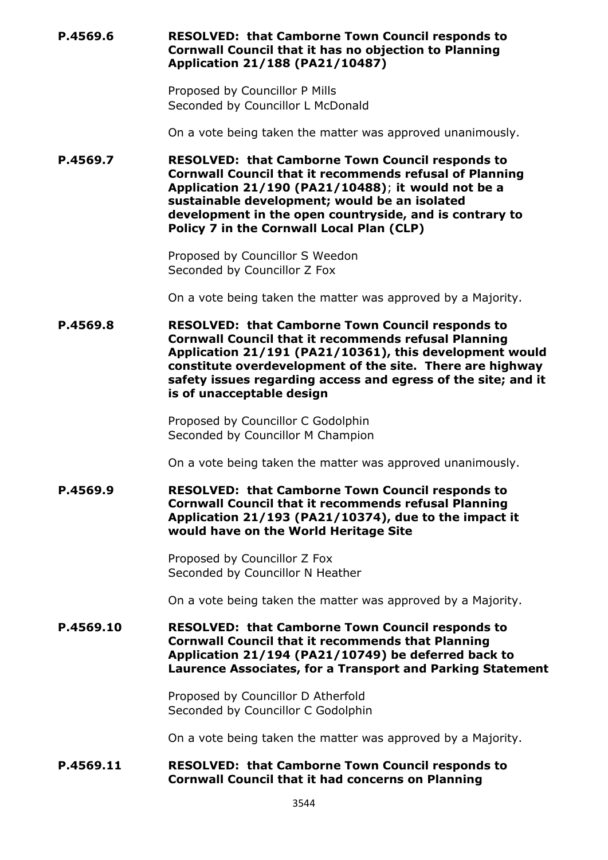**P.4569.6 RESOLVED: that Camborne Town Council responds to Cornwall Council that it has no objection to Planning Application 21/188 (PA21/10487)**

> Proposed by Councillor P Mills Seconded by Councillor L McDonald

On a vote being taken the matter was approved unanimously.

**P.4569.7 RESOLVED: that Camborne Town Council responds to Cornwall Council that it recommends refusal of Planning Application 21/190 (PA21/10488)**; **it would not be a sustainable development; would be an isolated development in the open countryside, and is contrary to Policy 7 in the Cornwall Local Plan (CLP)**

> Proposed by Councillor S Weedon Seconded by Councillor Z Fox

On a vote being taken the matter was approved by a Majority.

**P.4569.8 RESOLVED: that Camborne Town Council responds to Cornwall Council that it recommends refusal Planning Application 21/191 (PA21/10361), this development would constitute overdevelopment of the site. There are highway safety issues regarding access and egress of the site; and it is of unacceptable design**

> Proposed by Councillor C Godolphin Seconded by Councillor M Champion

On a vote being taken the matter was approved unanimously.

**P.4569.9 RESOLVED: that Camborne Town Council responds to Cornwall Council that it recommends refusal Planning Application 21/193 (PA21/10374), due to the impact it would have on the World Heritage Site**

> Proposed by Councillor Z Fox Seconded by Councillor N Heather

On a vote being taken the matter was approved by a Majority.

**P.4569.10 RESOLVED: that Camborne Town Council responds to Cornwall Council that it recommends that Planning Application 21/194 (PA21/10749) be deferred back to Laurence Associates, for a Transport and Parking Statement**

> Proposed by Councillor D Atherfold Seconded by Councillor C Godolphin

On a vote being taken the matter was approved by a Majority.

#### **P.4569.11 RESOLVED: that Camborne Town Council responds to Cornwall Council that it had concerns on Planning**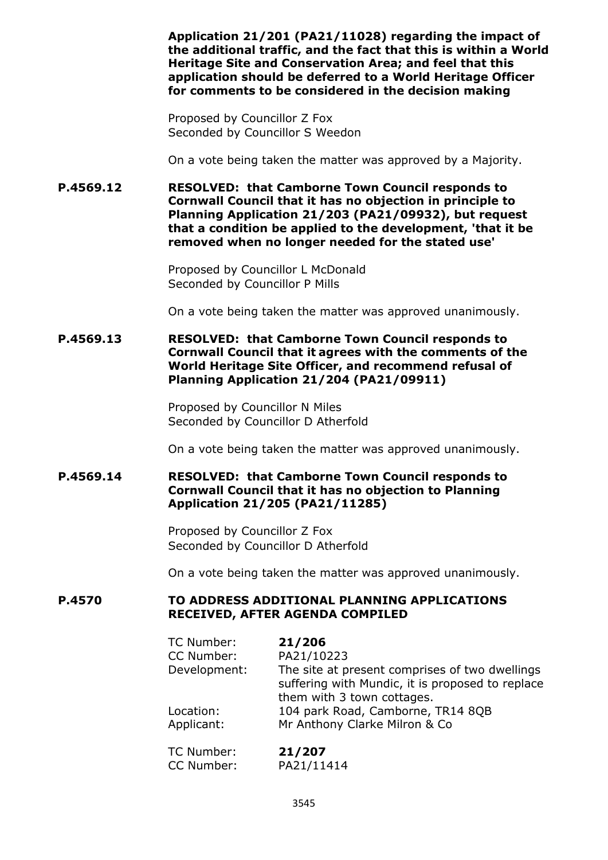**Application 21/201 (PA21/11028) regarding the impact of the additional traffic, and the fact that this is within a World Heritage Site and Conservation Area; and feel that this application should be deferred to a World Heritage Officer for comments to be considered in the decision making**

Proposed by Councillor Z Fox Seconded by Councillor S Weedon

On a vote being taken the matter was approved by a Majority.

**P.4569.12 RESOLVED: that Camborne Town Council responds to Cornwall Council that it has no objection in principle to Planning Application 21/203 (PA21/09932), but request that a condition be applied to the development, 'that it be removed when no longer needed for the stated use'**

> Proposed by Councillor L McDonald Seconded by Councillor P Mills

On a vote being taken the matter was approved unanimously.

**P.4569.13 RESOLVED: that Camborne Town Council responds to Cornwall Council that it agrees with the comments of the World Heritage Site Officer, and recommend refusal of Planning Application 21/204 (PA21/09911)**

> Proposed by Councillor N Miles Seconded by Councillor D Atherfold

On a vote being taken the matter was approved unanimously.

## **P.4569.14 RESOLVED: that Camborne Town Council responds to Cornwall Council that it has no objection to Planning Application 21/205 (PA21/11285)**

Proposed by Councillor Z Fox Seconded by Councillor D Atherfold

On a vote being taken the matter was approved unanimously.

## **P.4570 TO ADDRESS ADDITIONAL PLANNING APPLICATIONS RECEIVED, AFTER AGENDA COMPILED**

| TC Number:   | 21/206                                           |
|--------------|--------------------------------------------------|
| CC Number:   | PA21/10223                                       |
| Development: | The site at present comprises of two dwellings   |
|              | suffering with Mundic, it is proposed to replace |
|              | them with 3 town cottages.                       |
| Location:    | 104 park Road, Camborne, TR14 8QB                |
| Applicant:   | Mr Anthony Clarke Milron & Co                    |
| TC Number:   | 21/207                                           |
| CC Number:   | PA21/11414                                       |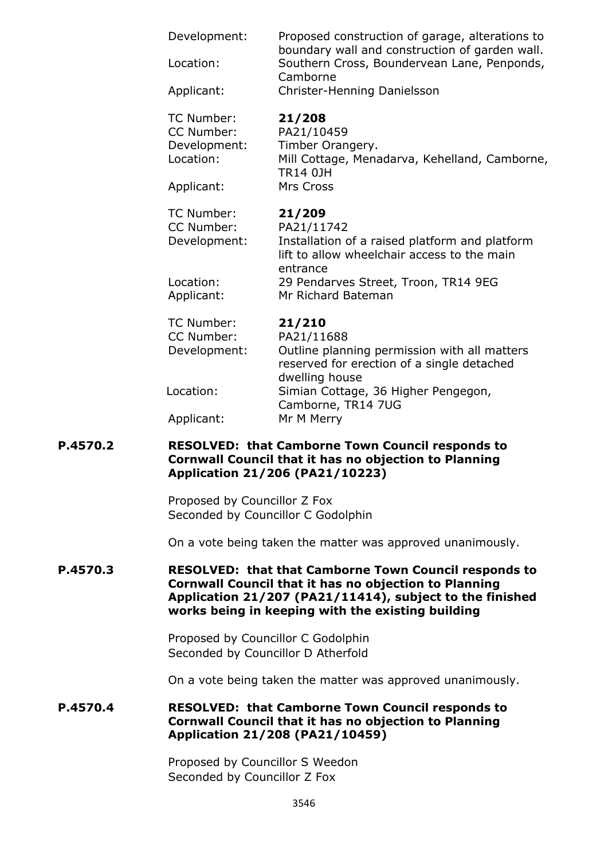| Development:<br>Location:<br>Applicant:               | Proposed construction of garage, alterations to<br>boundary wall and construction of garden wall.<br>Southern Cross, Boundervean Lane, Penponds,<br>Camborne<br>Christer-Henning Danielsson |
|-------------------------------------------------------|---------------------------------------------------------------------------------------------------------------------------------------------------------------------------------------------|
| TC Number:<br>CC Number:<br>Development:<br>Location: | 21/208<br>PA21/10459<br>Timber Orangery.<br>Mill Cottage, Menadarva, Kehelland, Camborne,<br><b>TR14 0JH</b><br>Mrs Cross                                                                   |
| Applicant:                                            |                                                                                                                                                                                             |
| TC Number:<br>CC Number:<br>Development:<br>Location: | 21/209<br>PA21/11742<br>Installation of a raised platform and platform<br>lift to allow wheelchair access to the main<br>entrance<br>29 Pendarves Street, Troon, TR14 9EG                   |
| Applicant:                                            | Mr Richard Bateman                                                                                                                                                                          |
| TC Number:<br>CC Number:<br>Development:              | 21/210<br>PA21/11688<br>Outline planning permission with all matters<br>reserved for erection of a single detached<br>dwelling house                                                        |
| Location:                                             | Simian Cottage, 36 Higher Pengegon,<br>Camborne, TR14 7UG                                                                                                                                   |
| Applicant:                                            | Mr M Merry                                                                                                                                                                                  |

#### **P.4570.2 RESOLVED: that Camborne Town Council responds to Cornwall Council that it has no objection to Planning Application 21/206 (PA21/10223)**

Proposed by Councillor Z Fox Seconded by Councillor C Godolphin

On a vote being taken the matter was approved unanimously.

#### **P.4570.3 RESOLVED: that that Camborne Town Council responds to Cornwall Council that it has no objection to Planning Application 21/207 (PA21/11414), subject to the finished works being in keeping with the existing building**

Proposed by Councillor C Godolphin Seconded by Councillor D Atherfold

On a vote being taken the matter was approved unanimously.

## **P.4570.4 RESOLVED: that Camborne Town Council responds to Cornwall Council that it has no objection to Planning Application 21/208 (PA21/10459)**

Proposed by Councillor S Weedon Seconded by Councillor Z Fox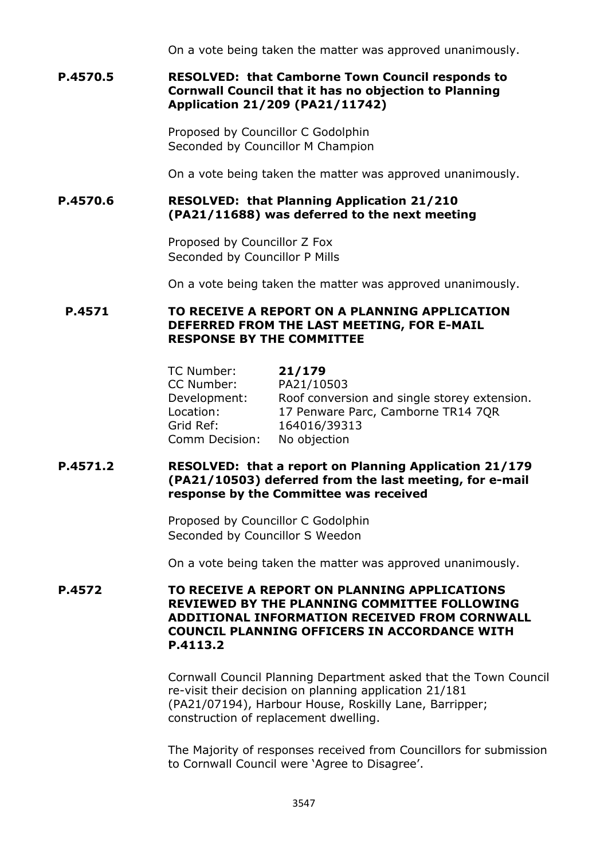On a vote being taken the matter was approved unanimously.

## **P.4570.5 RESOLVED: that Camborne Town Council responds to Cornwall Council that it has no objection to Planning Application 21/209 (PA21/11742)**

Proposed by Councillor C Godolphin Seconded by Councillor M Champion

On a vote being taken the matter was approved unanimously.

#### **P.4570.6 RESOLVED: that Planning Application 21/210 (PA21/11688) was deferred to the next meeting**

Proposed by Councillor Z Fox Seconded by Councillor P Mills

On a vote being taken the matter was approved unanimously.

#### **P.4571 TO RECEIVE A REPORT ON A PLANNING APPLICATION DEFERRED FROM THE LAST MEETING, FOR E-MAIL RESPONSE BY THE COMMITTEE**

| TC Number:     | 21/179                                       |
|----------------|----------------------------------------------|
| CC Number:     | PA21/10503                                   |
| Development:   | Roof conversion and single storey extension. |
| Location:      | 17 Penware Parc, Camborne TR14 7QR           |
| Grid Ref:      | 164016/39313                                 |
| Comm Decision: | No objection                                 |

## **P.4571.2 RESOLVED: that a report on Planning Application 21/179 (PA21/10503) deferred from the last meeting, for e-mail response by the Committee was received**

Proposed by Councillor C Godolphin Seconded by Councillor S Weedon

On a vote being taken the matter was approved unanimously.

#### **P.4572 TO RECEIVE A REPORT ON PLANNING APPLICATIONS REVIEWED BY THE PLANNING COMMITTEE FOLLOWING ADDITIONAL INFORMATION RECEIVED FROM CORNWALL COUNCIL PLANNING OFFICERS IN ACCORDANCE WITH P.4113.2**

Cornwall Council Planning Department asked that the Town Council re-visit their decision on planning application 21/181 (PA21/07194), Harbour House, Roskilly Lane, Barripper; construction of replacement dwelling.

The Majority of responses received from Councillors for submission to Cornwall Council were 'Agree to Disagree'.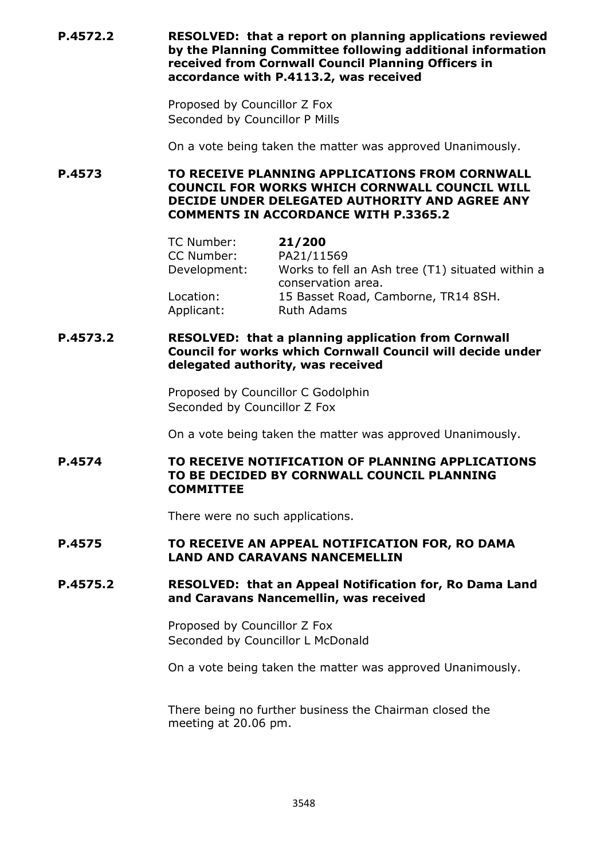**P.4572.2 RESOLVED: that a report on planning applications reviewed by the Planning Committee following additional information received from Cornwall Council Planning Officers in accordance with P.4113.2, was received**

> Proposed by Councillor Z Fox Seconded by Councillor P Mills

On a vote being taken the matter was approved Unanimously.

**P.4573 TO RECEIVE PLANNING APPLICATIONS FROM CORNWALL COUNCIL FOR WORKS WHICH CORNWALL COUNCIL WILL DECIDE UNDER DELEGATED AUTHORITY AND AGREE ANY COMMENTS IN ACCORDANCE WITH P.3365.2**

| TC Number:              | 21/200                                                                 |
|-------------------------|------------------------------------------------------------------------|
| CC Number:              | PA21/11569                                                             |
| Development:            | Works to fell an Ash tree (T1) situated within a<br>conservation area. |
| Location:<br>Applicant: | 15 Basset Road, Camborne, TR14 8SH.<br><b>Ruth Adams</b>               |

#### **P.4573.2 RESOLVED: that a planning application from Cornwall Council for works which Cornwall Council will decide under delegated authority, was received**

Proposed by Councillor C Godolphin Seconded by Councillor Z Fox

On a vote being taken the matter was approved Unanimously.

#### **P.4574 TO RECEIVE NOTIFICATION OF PLANNING APPLICATIONS TO BE DECIDED BY CORNWALL COUNCIL PLANNING COMMITTEE**

There were no such applications.

## **P.4575 TO RECEIVE AN APPEAL NOTIFICATION FOR, RO DAMA LAND AND CARAVANS NANCEMELLIN**

#### **P.4575.2 RESOLVED: that an Appeal Notification for, Ro Dama Land and Caravans Nancemellin, was received**

Proposed by Councillor Z Fox Seconded by Councillor L McDonald

On a vote being taken the matter was approved Unanimously.

There being no further business the Chairman closed the meeting at 20.06 pm.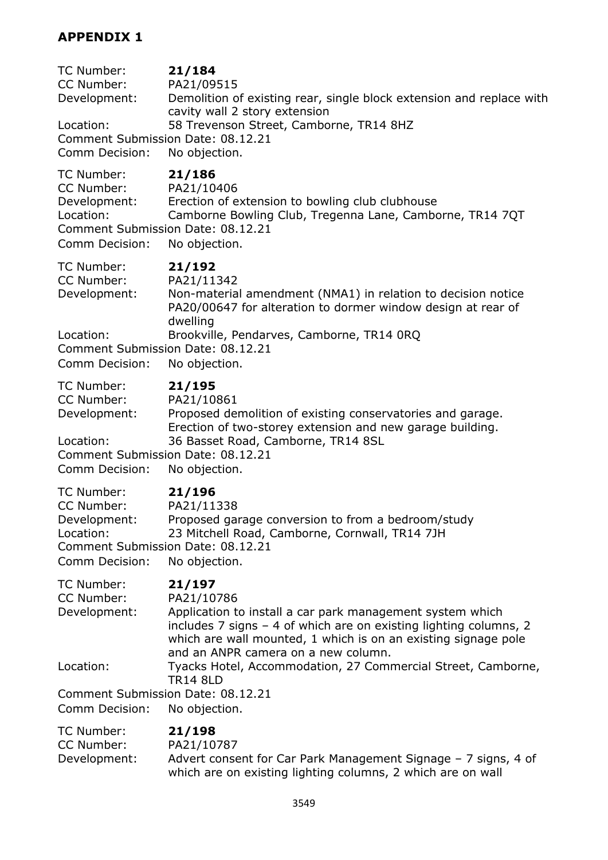# **APPENDIX 1**

| TC Number:<br>CC Number:<br>Development:<br>Location:<br>Comment Submission Date: 08.12.21<br>Comm Decision: | 21/184<br>PA21/09515<br>Demolition of existing rear, single block extension and replace with<br>cavity wall 2 story extension<br>58 Trevenson Street, Camborne, TR14 8HZ<br>No objection.                                                                       |
|--------------------------------------------------------------------------------------------------------------|-----------------------------------------------------------------------------------------------------------------------------------------------------------------------------------------------------------------------------------------------------------------|
| TC Number:<br>CC Number:<br>Development:<br>Location:<br>Comment Submission Date: 08.12.21<br>Comm Decision: | 21/186<br>PA21/10406<br>Erection of extension to bowling club clubhouse<br>Camborne Bowling Club, Tregenna Lane, Camborne, TR14 7QT<br>No objection.                                                                                                            |
| TC Number:<br>CC Number:<br>Development:<br>Location:<br>Comment Submission Date: 08.12.21<br>Comm Decision: | 21/192<br>PA21/11342<br>Non-material amendment (NMA1) in relation to decision notice<br>PA20/00647 for alteration to dormer window design at rear of<br>dwelling<br>Brookville, Pendarves, Camborne, TR14 ORQ<br>No objection.                                  |
| TC Number:<br>CC Number:<br>Development:<br>Location:<br>Comment Submission Date: 08.12.21<br>Comm Decision: | 21/195<br>PA21/10861<br>Proposed demolition of existing conservatories and garage.<br>Erection of two-storey extension and new garage building.<br>36 Basset Road, Camborne, TR14 8SL<br>No objection.                                                          |
| TC Number:<br>CC Number:<br>Development:<br>Location:<br>Comment Submission Date: 08.12.21<br>Comm Decision: | 21/196<br>PA21/11338<br>Proposed garage conversion to from a bedroom/study<br>23 Mitchell Road, Camborne, Cornwall, TR14 7JH<br>No objection.                                                                                                                   |
| TC Number:<br>CC Number:<br>Development:                                                                     | 21/197<br>PA21/10786<br>Application to install a car park management system which<br>includes 7 signs - 4 of which are on existing lighting columns, 2<br>which are wall mounted, 1 which is on an existing signage pole<br>and an ANPR camera on a new column. |
| Location:<br>Comment Submission Date: 08.12.21                                                               | Tyacks Hotel, Accommodation, 27 Commercial Street, Camborne,<br><b>TR14 8LD</b>                                                                                                                                                                                 |
| Comm Decision:                                                                                               | No objection.                                                                                                                                                                                                                                                   |
| TC Number:<br>CC Number:<br>Development:                                                                     | 21/198<br>PA21/10787<br>Advert consent for Car Park Management Signage - 7 signs, 4 of<br>which are on existing lighting columns, 2 which are on wall                                                                                                           |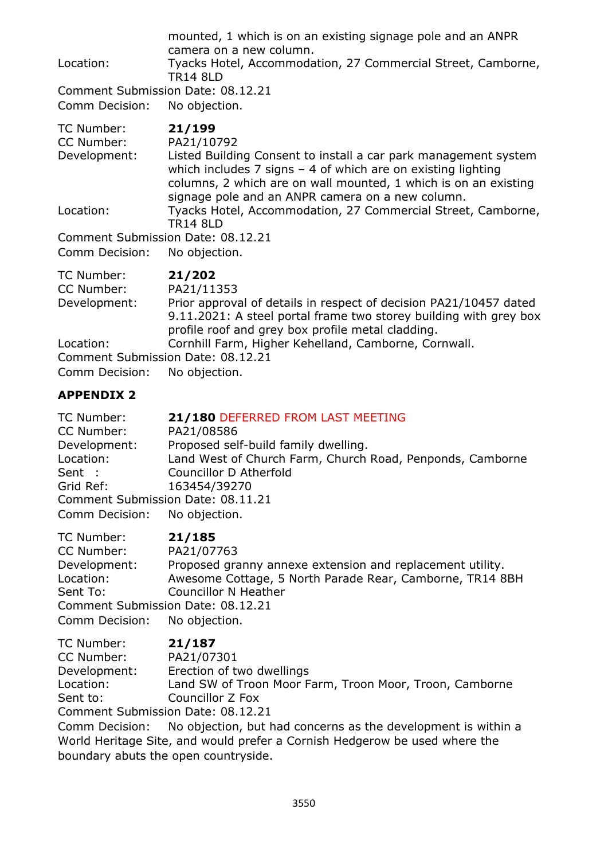| Tyacks Hotel, Accommodation, 27 Commercial Street, Camborne,                                                                                                                                                                                               |  |  |
|------------------------------------------------------------------------------------------------------------------------------------------------------------------------------------------------------------------------------------------------------------|--|--|
|                                                                                                                                                                                                                                                            |  |  |
| Listed Building Consent to install a car park management system<br>which includes $7$ signs $-$ 4 of which are on existing lighting<br>columns, 2 which are on wall mounted, 1 which is on an existing<br>signage pole and an ANPR camera on a new column. |  |  |
| Tyacks Hotel, Accommodation, 27 Commercial Street, Camborne,                                                                                                                                                                                               |  |  |
| <b>TR14 8LD</b><br>Comment Submission Date: 08.12.21                                                                                                                                                                                                       |  |  |
|                                                                                                                                                                                                                                                            |  |  |
| Prior approval of details in respect of decision PA21/10457 dated                                                                                                                                                                                          |  |  |
| profile roof and grey box profile metal cladding.                                                                                                                                                                                                          |  |  |
| 9.11.2021: A steel portal frame two storey building with grey box<br>Cornhill Farm, Higher Kehelland, Camborne, Cornwall.                                                                                                                                  |  |  |

Comment Submission Date: 08.12.21

Comm Decision: No objection.

## **APPENDIX 2**

| TC Number:                        | 21/180 DEFERRED FROM LAST MEETING                         |
|-----------------------------------|-----------------------------------------------------------|
| CC Number:                        | PA21/08586                                                |
| Development:                      | Proposed self-build family dwelling.                      |
| Location:                         | Land West of Church Farm, Church Road, Penponds, Camborne |
| Sent :                            | Councillor D Atherfold                                    |
| Grid Ref:                         | 163454/39270                                              |
| Comment Submission Date: 08.11.21 |                                                           |
| Comm Decision: No objection.      |                                                           |

| TC Number:                        | 21/185                                                    |
|-----------------------------------|-----------------------------------------------------------|
| CC Number:                        | PA21/07763                                                |
| Development:                      | Proposed granny annexe extension and replacement utility. |
| Location:                         | Awesome Cottage, 5 North Parade Rear, Camborne, TR14 8BH  |
| Sent To:                          | <b>Councillor N Heather</b>                               |
| Comment Submission Date: 08.12.21 |                                                           |
| Comm Decision: No objection.      |                                                           |

| TC Number:   | 21/187                                                                    |
|--------------|---------------------------------------------------------------------------|
| CC Number:   | PA21/07301                                                                |
| Development: | Erection of two dwellings                                                 |
| Location:    | Land SW of Troon Moor Farm, Troon Moor, Troon, Camborne                   |
| Sent to:     | Councillor Z Fox                                                          |
|              | Comment Submission Date: 08.12.21                                         |
|              | Canana Desisian Ne abiastian but bad sensama as the devolupment is within |

Comm Decision: No objection, but had concerns as the development is within a World Heritage Site, and would prefer a Cornish Hedgerow be used where the boundary abuts the open countryside.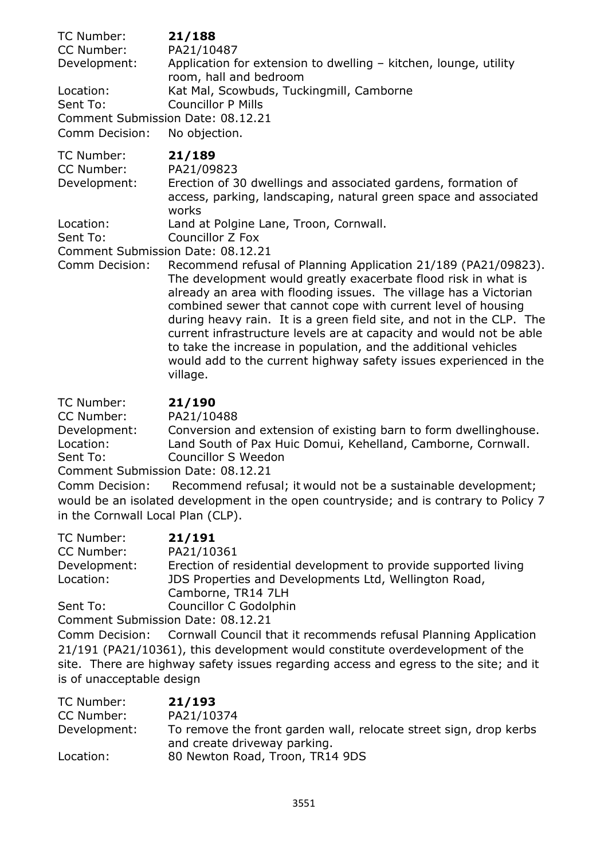| TC Number:                        | 21/188                                                                                                                                      |
|-----------------------------------|---------------------------------------------------------------------------------------------------------------------------------------------|
| CC Number:                        | PA21/10487                                                                                                                                  |
| Development:                      | Application for extension to dwelling - kitchen, lounge, utility<br>room, hall and bedroom                                                  |
| Location:                         | Kat Mal, Scowbuds, Tuckingmill, Camborne                                                                                                    |
| Sent To:                          | <b>Councillor P Mills</b>                                                                                                                   |
|                                   | Comment Submission Date: 08.12.21                                                                                                           |
| Comm Decision:                    | No objection.                                                                                                                               |
| TC Number:                        | 21/189                                                                                                                                      |
| CC Number:                        | PA21/09823                                                                                                                                  |
| Development:                      | Erection of 30 dwellings and associated gardens, formation of                                                                               |
|                                   | access, parking, landscaping, natural green space and associated                                                                            |
|                                   | works                                                                                                                                       |
| Location:                         | Land at Polgine Lane, Troon, Cornwall.                                                                                                      |
| Sent To:                          | Councillor Z Fox                                                                                                                            |
| Comment Submission Date: 08.12.21 |                                                                                                                                             |
| Comm Decision:                    | Recommend refusal of Planning Application 21/189 (PA21/09823).                                                                              |
|                                   | The development would greatly exacerbate flood risk in what is                                                                              |
|                                   | already an area with flooding issues. The village has a Victorian                                                                           |
|                                   | combined sewer that cannot cope with current level of housing                                                                               |
|                                   | during heavy rain. It is a green field site, and not in the CLP. The<br>current infractructure levels are at canacity and would not be able |

current infrastructure levels are at capacity and would not be able to take the increase in population, and the additional vehicles would add to the current highway safety issues experienced in the village.

## TC Number: **21/190**

CC Number: PA21/10488

Development: Conversion and extension of existing barn to form dwellinghouse. Location: Land South of Pax Huic Domui, Kehelland, Camborne, Cornwall. Sent To: Councillor S Weedon

Comment Submission Date: 08.12.21

Comm Decision: Recommend refusal; it would not be a sustainable development; would be an isolated development in the open countryside; and is contrary to Policy 7 in the Cornwall Local Plan (CLP).

| TC Number:   | 21/191                                                          |
|--------------|-----------------------------------------------------------------|
| CC Number:   | PA21/10361                                                      |
| Development: | Erection of residential development to provide supported living |
| Location:    | JDS Properties and Developments Ltd, Wellington Road,           |
|              | Camborne, TR14 7LH                                              |
| Sent To:     | Councillor C Godolphin                                          |
|              |                                                                 |

Comment Submission Date: 08.12.21

Comm Decision: Cornwall Council that it recommends refusal Planning Application 21/191 (PA21/10361), this development would constitute overdevelopment of the site. There are highway safety issues regarding access and egress to the site; and it is of unacceptable design

| TC Number:   | 21/193                                                                                            |
|--------------|---------------------------------------------------------------------------------------------------|
| CC Number:   | PA21/10374                                                                                        |
| Development: | To remove the front garden wall, relocate street sign, drop kerbs<br>and create driveway parking. |
| Location:    | 80 Newton Road, Troon, TR14 9DS                                                                   |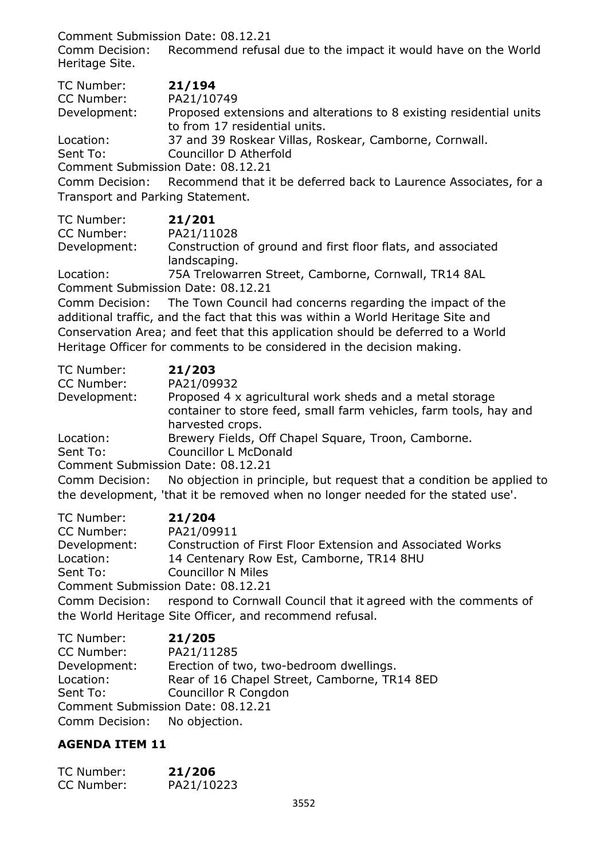Comment Submission Date: 08.12.21

Comm Decision: Recommend refusal due to the impact it would have on the World Heritage Site.

| TC Number:                        | 21/194                                                                          |
|-----------------------------------|---------------------------------------------------------------------------------|
| CC Number:                        | PA21/10749                                                                      |
| Development:                      | Proposed extensions and alterations to 8 existing residential units             |
|                                   | to from 17 residential units.                                                   |
| Location:                         | 37 and 39 Roskear Villas, Roskear, Camborne, Cornwall.                          |
| Sent To:                          | Councillor D Atherfold                                                          |
| Comment Submission Date: 08.12.21 |                                                                                 |
|                                   | Comm Decision: Recommend that it be deferred back to Laurence Associates, for a |
| Transport and Parking Statement.  |                                                                                 |
| $T \cap N$                        |                                                                                 |

| TC Number:   | 21/201                                                                       |
|--------------|------------------------------------------------------------------------------|
| CC Number:   | PA21/11028                                                                   |
| Development: | Construction of ground and first floor flats, and associated<br>landscaping. |
| Location:    | 75A Trelowarren Street, Camborne, Cornwall, TR14 8AL                         |

Comment Submission Date: 08.12.21

Comm Decision: The Town Council had concerns regarding the impact of the additional traffic, and the fact that this was within a World Heritage Site and Conservation Area; and feet that this application should be deferred to a World Heritage Officer for comments to be considered in the decision making.

| TC Number:                        | 21/203                                                                                                                                            |  |
|-----------------------------------|---------------------------------------------------------------------------------------------------------------------------------------------------|--|
| CC Number:                        | PA21/09932                                                                                                                                        |  |
| Development:                      | Proposed 4 x agricultural work sheds and a metal storage<br>container to store feed, small farm vehicles, farm tools, hay and<br>harvested crops. |  |
| Location:                         | Brewery Fields, Off Chapel Square, Troon, Camborne.                                                                                               |  |
| Sent To:                          | <b>Councillor L McDonald</b>                                                                                                                      |  |
| Comment Submission Date: 08.12.21 |                                                                                                                                                   |  |
| Comm Decision:                    | No objection in principle, but request that a condition be applied to                                                                             |  |
|                                   | the development, 'that it be removed when no longer needed for the stated use'.                                                                   |  |

| TC Number:                        | 21/204                                                                         |
|-----------------------------------|--------------------------------------------------------------------------------|
| CC Number:                        | PA21/09911                                                                     |
| Development:                      | Construction of First Floor Extension and Associated Works                     |
| Location:                         | 14 Centenary Row Est, Camborne, TR14 8HU                                       |
| Sent To:                          | <b>Councillor N Miles</b>                                                      |
| Comment Submission Date: 08.12.21 |                                                                                |
|                                   | Comm Decision: respond to Cornwall Council that it agreed with the comments of |
|                                   | the World Heritage Site Officer, and recommend refusal.                        |

| TC Number:                        | 21/205                                       |
|-----------------------------------|----------------------------------------------|
| CC Number:                        | PA21/11285                                   |
| Development:                      | Erection of two, two-bedroom dwellings.      |
| Location:                         | Rear of 16 Chapel Street, Camborne, TR14 8ED |
| Sent To:                          | Councillor R Congdon                         |
| Comment Submission Date: 08.12.21 |                                              |
| Comm Decision: No objection.      |                                              |

# **AGENDA ITEM 11**

| TC Number: | 21/206     |
|------------|------------|
| CC Number: | PA21/10223 |